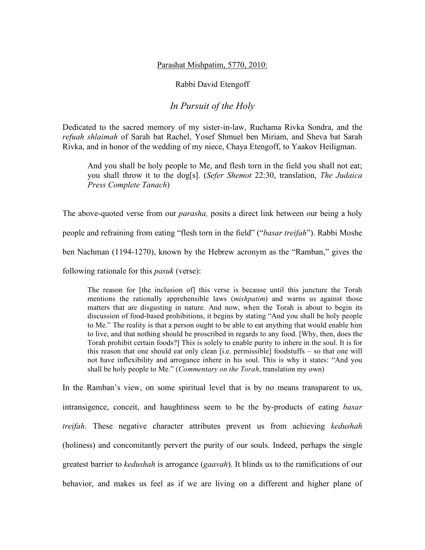## Parashat Mishpatim, 5770, 2010:

## Rabbi David Etengoff

## *In Pursuit of the Holy*

Dedicated to the sacred memory of my sister-in-law, Ruchama Rivka Sondra, and the *refuah shlaimah* of Sarah bat Rachel, Yosef Shmuel ben Miriam, and Sheva bat Sarah Rivka, and in honor of the wedding of my niece, Chaya Etengoff, to Yaakov Heiligman.

And you shall be holy people to Me, and flesh torn in the field you shall not eat; you shall throw it to the dog[s]. (*Sefer Shemot* 22:30, translation, *The Judaica Press Complete Tanach*)

The above-quoted verse from our *parasha,* posits a direct link between our being a holy people and refraining from eating "flesh torn in the field" ("*basar treifah*"). Rabbi Moshe ben Nachman (1194-1270), known by the Hebrew acronym as the "Ramban," gives the following rationale for this *pasuk* (verse):

The reason for [the inclusion of] this verse is because until this juncture the Torah mentions the rationally apprehensible laws (*mishpatim*) and warns us against those matters that are disgusting in nature. And now, when the Torah is about to begin its discussion of food-based prohibitions, it begins by stating "And you shall be holy people to Me." The reality is that a person ought to be able to eat anything that would enable him to live, and that nothing should be proscribed in regards to any food. [Why, then, does the Torah prohibit certain foods?] This is solely to enable purity to inhere in the soul. It is for this reason that one should eat only clean [i.e. permissible] foodstuffs – so that one will not have inflexibility and arrogance inhere in his soul. This is why it states: "And you shall be holy people to Me." (*Commentary on the Torah*, translation my own)

In the Ramban's view, on some spiritual level that is by no means transparent to us, intransigence, conceit, and haughtiness seem to be the by-products of eating *basar treifah*. These negative character attributes prevent us from achieving *kedushah*  (holiness) and concomitantly pervert the purity of our souls. Indeed, perhaps the single greatest barrier to *kedushah* is arrogance (*gaavah*). It blinds us to the ramifications of our behavior, and makes us feel as if we are living on a different and higher plane of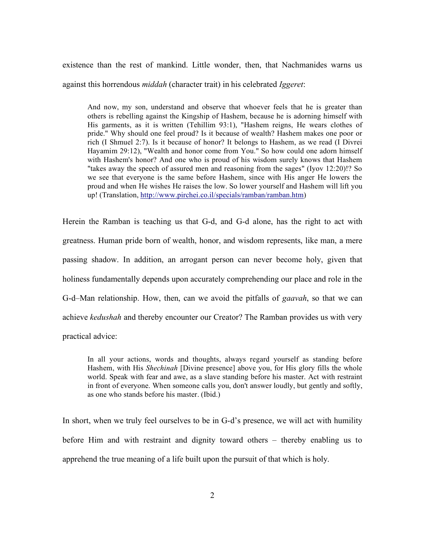existence than the rest of mankind. Little wonder, then, that Nachmanides warns us against this horrendous *middah* (character trait) in his celebrated *Iggeret*:

And now, my son, understand and observe that whoever feels that he is greater than others is rebelling against the Kingship of Hashem, because he is adorning himself with His garments, as it is written (Tehillim 93:1), "Hashem reigns, He wears clothes of pride." Why should one feel proud? Is it because of wealth? Hashem makes one poor or rich (I Shmuel 2:7). Is it because of honor? It belongs to Hashem, as we read (I Divrei Hayamim 29:12), "Wealth and honor come from You." So how could one adorn himself with Hashem's honor? And one who is proud of his wisdom surely knows that Hashem "takes away the speech of assured men and reasoning from the sages" (Iyov 12:20)!? So we see that everyone is the same before Hashem, since with His anger He lowers the proud and when He wishes He raises the low. So lower yourself and Hashem will lift you up! (Translation, http://www.pirchei.co.il/specials/ramban/ramban.htm)

Herein the Ramban is teaching us that G-d, and G-d alone, has the right to act with greatness. Human pride born of wealth, honor, and wisdom represents, like man, a mere passing shadow. In addition, an arrogant person can never become holy, given that holiness fundamentally depends upon accurately comprehending our place and role in the G-d–Man relationship. How, then, can we avoid the pitfalls of *gaavah*, so that we can achieve *kedushah* and thereby encounter our Creator? The Ramban provides us with very practical advice:

In all your actions, words and thoughts, always regard yourself as standing before Hashem, with His *Shechinah* [Divine presence] above you, for His glory fills the whole world. Speak with fear and awe, as a slave standing before his master. Act with restraint in front of everyone. When someone calls you, don't answer loudly, but gently and softly, as one who stands before his master. (Ibid.)

In short, when we truly feel ourselves to be in G-d's presence, we will act with humility before Him and with restraint and dignity toward others – thereby enabling us to apprehend the true meaning of a life built upon the pursuit of that which is holy.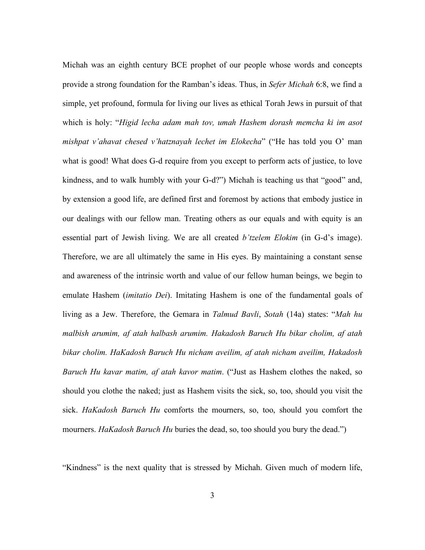Michah was an eighth century BCE prophet of our people whose words and concepts provide a strong foundation for the Ramban's ideas. Thus, in *Sefer Michah* 6:8, we find a simple, yet profound, formula for living our lives as ethical Torah Jews in pursuit of that which is holy: "*Higid lecha adam mah tov, umah Hashem dorash memcha ki im asot mishpat v'ahavat chesed v'hatznayah lechet im Elokecha*" ("He has told you O' man what is good! What does G-d require from you except to perform acts of justice, to love kindness, and to walk humbly with your G-d?") Michah is teaching us that "good" and, by extension a good life, are defined first and foremost by actions that embody justice in our dealings with our fellow man. Treating others as our equals and with equity is an essential part of Jewish living. We are all created *b'tzelem Elokim* (in G-d's image). Therefore, we are all ultimately the same in His eyes. By maintaining a constant sense and awareness of the intrinsic worth and value of our fellow human beings, we begin to emulate Hashem (*imitatio Dei*). Imitating Hashem is one of the fundamental goals of living as a Jew. Therefore, the Gemara in *Talmud Bavli*, *Sotah* (14a) states: "*Mah hu malbish arumim, af atah halbash arumim. Hakadosh Baruch Hu bikar cholim, af atah bikar cholim. HaKadosh Baruch Hu nicham aveilim, af atah nicham aveilim, Hakadosh Baruch Hu kavar matim, af atah kavor matim*. ("Just as Hashem clothes the naked, so should you clothe the naked; just as Hashem visits the sick, so, too, should you visit the sick. *HaKadosh Baruch Hu* comforts the mourners, so, too, should you comfort the mourners. *HaKadosh Baruch Hu* buries the dead, so, too should you bury the dead.")

"Kindness" is the next quality that is stressed by Michah. Given much of modern life,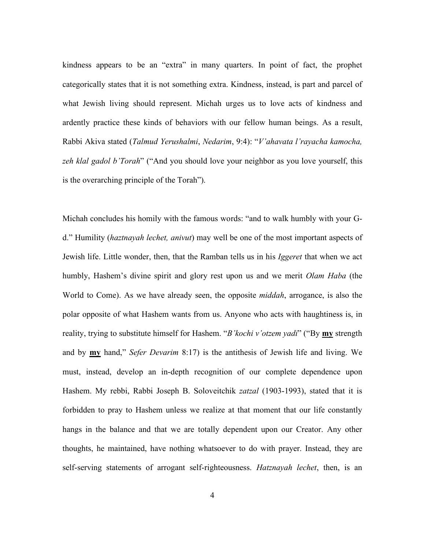kindness appears to be an "extra" in many quarters. In point of fact, the prophet categorically states that it is not something extra. Kindness, instead, is part and parcel of what Jewish living should represent. Michah urges us to love acts of kindness and ardently practice these kinds of behaviors with our fellow human beings. As a result, Rabbi Akiva stated (*Talmud Yerushalmi*, *Nedarim*, 9:4): "*V'ahavata l'rayacha kamocha, zeh klal gadol b'Torah*" ("And you should love your neighbor as you love yourself, this is the overarching principle of the Torah").

Michah concludes his homily with the famous words: "and to walk humbly with your Gd." Humility (*haztnayah lechet, anivut*) may well be one of the most important aspects of Jewish life. Little wonder, then, that the Ramban tells us in his *Iggeret* that when we act humbly, Hashem's divine spirit and glory rest upon us and we merit *Olam Haba* (the World to Come). As we have already seen, the opposite *middah*, arrogance, is also the polar opposite of what Hashem wants from us. Anyone who acts with haughtiness is, in reality, trying to substitute himself for Hashem. "*B'kochi v'otzem yadi*" ("By **my** strength and by **my** hand," *Sefer Devarim* 8:17) is the antithesis of Jewish life and living. We must, instead, develop an in-depth recognition of our complete dependence upon Hashem. My rebbi, Rabbi Joseph B. Soloveitchik *zatzal* (1903-1993), stated that it is forbidden to pray to Hashem unless we realize at that moment that our life constantly hangs in the balance and that we are totally dependent upon our Creator. Any other thoughts, he maintained, have nothing whatsoever to do with prayer. Instead, they are self-serving statements of arrogant self-righteousness. *Hatznayah lechet*, then, is an